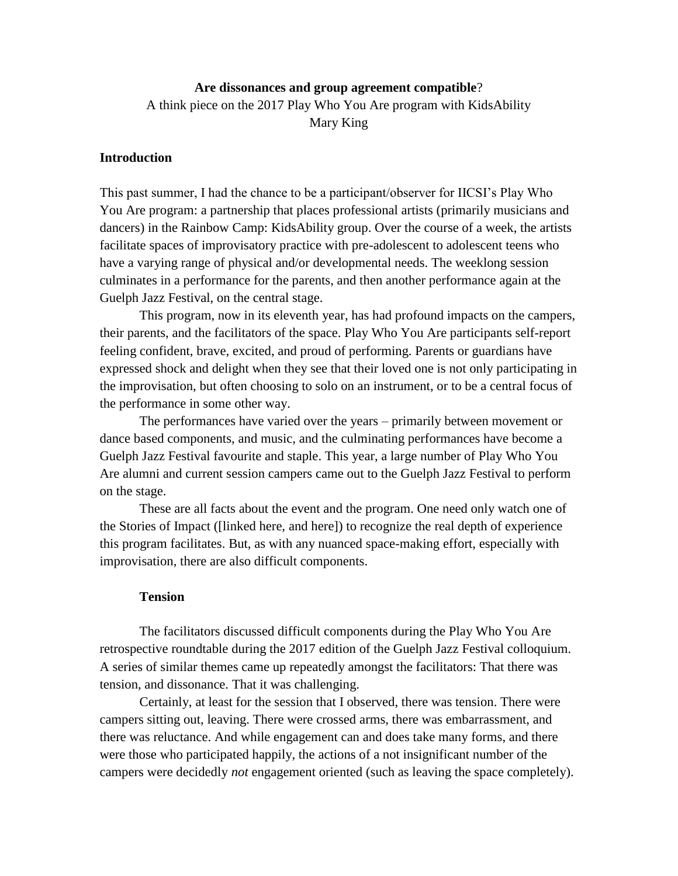## **Are dissonances and group agreement compatible**?

A think piece on the 2017 Play Who You Are program with KidsAbility Mary King

# **Introduction**

This past summer, I had the chance to be a participant/observer for IICSI's Play Who You Are program: a partnership that places professional artists (primarily musicians and dancers) in the Rainbow Camp: KidsAbility group. Over the course of a week, the artists facilitate spaces of improvisatory practice with pre-adolescent to adolescent teens who have a varying range of physical and/or developmental needs. The weeklong session culminates in a performance for the parents, and then another performance again at the Guelph Jazz Festival, on the central stage.

This program, now in its eleventh year, has had profound impacts on the campers, their parents, and the facilitators of the space. Play Who You Are participants self-report feeling confident, brave, excited, and proud of performing. Parents or guardians have expressed shock and delight when they see that their loved one is not only participating in the improvisation, but often choosing to solo on an instrument, or to be a central focus of the performance in some other way.

The performances have varied over the years – primarily between movement or dance based components, and music, and the culminating performances have become a Guelph Jazz Festival favourite and staple. This year, a large number of Play Who You Are alumni and current session campers came out to the Guelph Jazz Festival to perform on the stage.

These are all facts about the event and the program. One need only watch one of the Stories of Impact ([linked here, and here]) to recognize the real depth of experience this program facilitates. But, as with any nuanced space-making effort, especially with improvisation, there are also difficult components.

### **Tension**

The facilitators discussed difficult components during the Play Who You Are retrospective roundtable during the 2017 edition of the Guelph Jazz Festival colloquium. A series of similar themes came up repeatedly amongst the facilitators: That there was tension, and dissonance. That it was challenging.

Certainly, at least for the session that I observed, there was tension. There were campers sitting out, leaving. There were crossed arms, there was embarrassment, and there was reluctance. And while engagement can and does take many forms, and there were those who participated happily, the actions of a not insignificant number of the campers were decidedly *not* engagement oriented (such as leaving the space completely).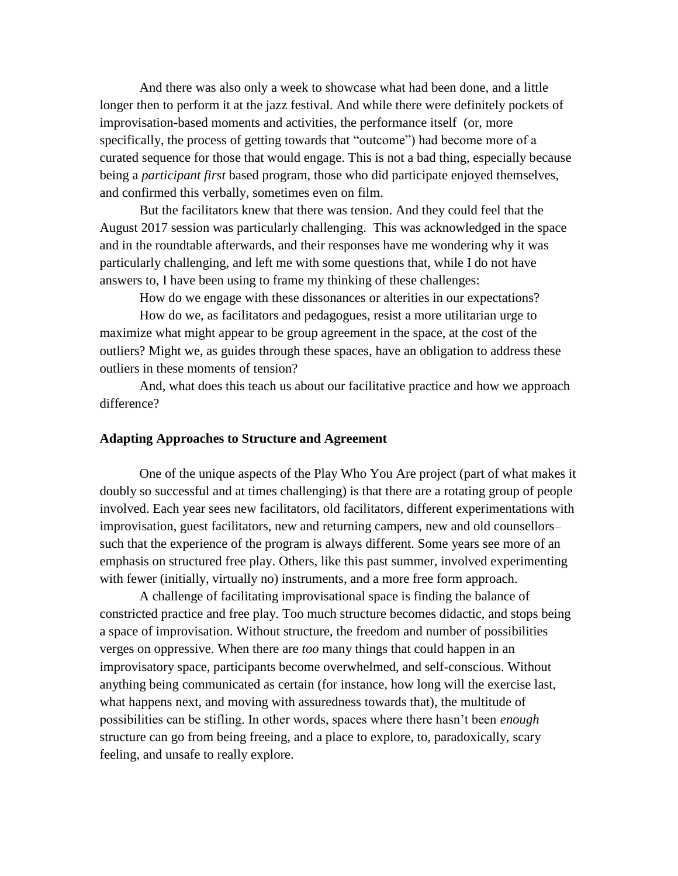And there was also only a week to showcase what had been done, and a little longer then to perform it at the jazz festival. And while there were definitely pockets of improvisation-based moments and activities, the performance itself (or, more specifically, the process of getting towards that "outcome") had become more of a curated sequence for those that would engage. This is not a bad thing, especially because being a *participant first* based program, those who did participate enjoyed themselves, and confirmed this verbally, sometimes even on film.

But the facilitators knew that there was tension. And they could feel that the August 2017 session was particularly challenging. This was acknowledged in the space and in the roundtable afterwards, and their responses have me wondering why it was particularly challenging, and left me with some questions that, while I do not have answers to, I have been using to frame my thinking of these challenges:

How do we engage with these dissonances or alterities in our expectations?

How do we, as facilitators and pedagogues, resist a more utilitarian urge to maximize what might appear to be group agreement in the space, at the cost of the outliers? Might we, as guides through these spaces, have an obligation to address these outliers in these moments of tension?

And, what does this teach us about our facilitative practice and how we approach difference?

#### **Adapting Approaches to Structure and Agreement**

One of the unique aspects of the Play Who You Are project (part of what makes it doubly so successful and at times challenging) is that there are a rotating group of people involved. Each year sees new facilitators, old facilitators, different experimentations with improvisation, guest facilitators, new and returning campers, new and old counsellors– such that the experience of the program is always different. Some years see more of an emphasis on structured free play. Others, like this past summer, involved experimenting with fewer (initially, virtually no) instruments, and a more free form approach.

A challenge of facilitating improvisational space is finding the balance of constricted practice and free play. Too much structure becomes didactic, and stops being a space of improvisation. Without structure, the freedom and number of possibilities verges on oppressive. When there are *too* many things that could happen in an improvisatory space, participants become overwhelmed, and self-conscious. Without anything being communicated as certain (for instance, how long will the exercise last, what happens next, and moving with assuredness towards that), the multitude of possibilities can be stifling. In other words, spaces where there hasn't been *enough* structure can go from being freeing, and a place to explore, to, paradoxically, scary feeling, and unsafe to really explore.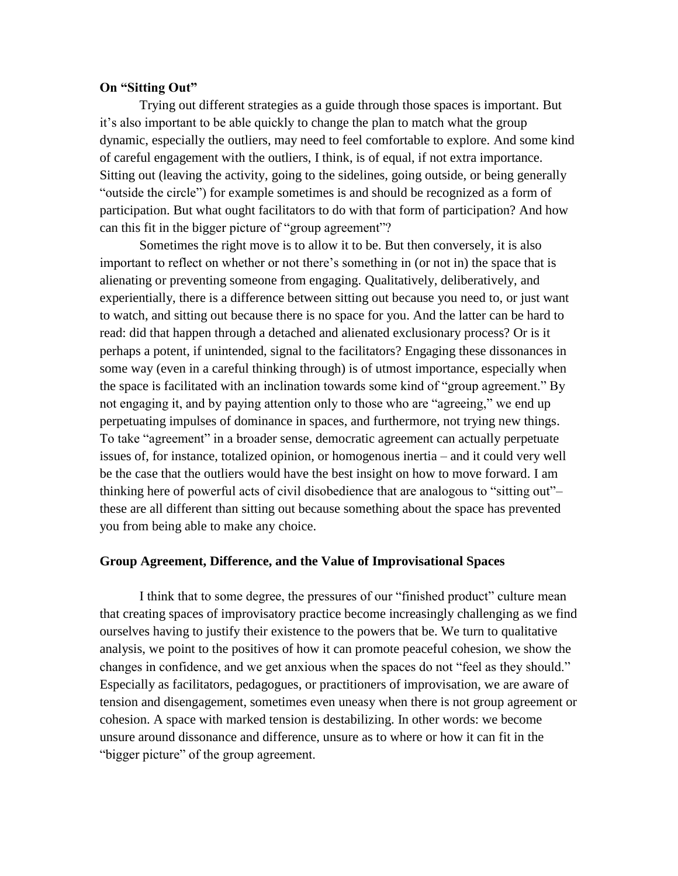### **On "Sitting Out"**

Trying out different strategies as a guide through those spaces is important. But it's also important to be able quickly to change the plan to match what the group dynamic, especially the outliers, may need to feel comfortable to explore. And some kind of careful engagement with the outliers, I think, is of equal, if not extra importance. Sitting out (leaving the activity, going to the sidelines, going outside, or being generally "outside the circle") for example sometimes is and should be recognized as a form of participation. But what ought facilitators to do with that form of participation? And how can this fit in the bigger picture of "group agreement"?

Sometimes the right move is to allow it to be. But then conversely, it is also important to reflect on whether or not there's something in (or not in) the space that is alienating or preventing someone from engaging. Qualitatively, deliberatively, and experientially, there is a difference between sitting out because you need to, or just want to watch, and sitting out because there is no space for you. And the latter can be hard to read: did that happen through a detached and alienated exclusionary process? Or is it perhaps a potent, if unintended, signal to the facilitators? Engaging these dissonances in some way (even in a careful thinking through) is of utmost importance, especially when the space is facilitated with an inclination towards some kind of "group agreement." By not engaging it, and by paying attention only to those who are "agreeing," we end up perpetuating impulses of dominance in spaces, and furthermore, not trying new things. To take "agreement" in a broader sense, democratic agreement can actually perpetuate issues of, for instance, totalized opinion, or homogenous inertia – and it could very well be the case that the outliers would have the best insight on how to move forward. I am thinking here of powerful acts of civil disobedience that are analogous to "sitting out"– these are all different than sitting out because something about the space has prevented you from being able to make any choice.

#### **Group Agreement, Difference, and the Value of Improvisational Spaces**

I think that to some degree, the pressures of our "finished product" culture mean that creating spaces of improvisatory practice become increasingly challenging as we find ourselves having to justify their existence to the powers that be. We turn to qualitative analysis, we point to the positives of how it can promote peaceful cohesion, we show the changes in confidence, and we get anxious when the spaces do not "feel as they should." Especially as facilitators, pedagogues, or practitioners of improvisation, we are aware of tension and disengagement, sometimes even uneasy when there is not group agreement or cohesion. A space with marked tension is destabilizing. In other words: we become unsure around dissonance and difference, unsure as to where or how it can fit in the "bigger picture" of the group agreement.